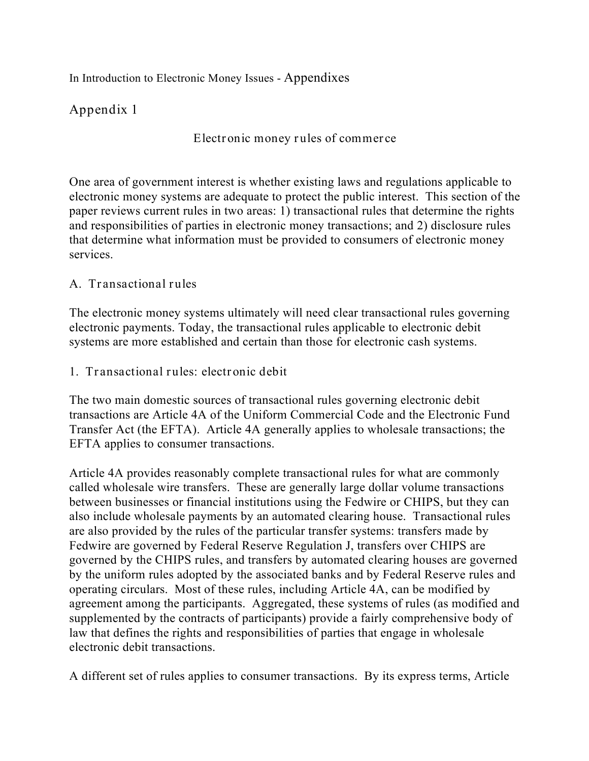In Introduction to Electronic Money Issues - Appendixes

# **Appendix 1**

**Electronic money rules of commerce**

One area of government interest is whether existing laws and regulations applicable to electronic money systems are adequate to protect the public interest. This section of the paper reviews current rules in two areas: 1) transactional rules that determine the rights and responsibilities of parties in electronic money transactions; and 2) disclosure rules that determine what information must be provided to consumers of electronic money services.

### **A. Transactional rules**

The electronic money systems ultimately will need clear transactional rules governing electronic payments. Today, the transactional rules applicable to electronic debit systems are more established and certain than those for electronic cash systems.

**1. Transactional rules: electronic debit**

The two main domestic sources of transactional rules governing electronic debit transactions are Article 4A of the Uniform Commercial Code and the Electronic Fund Transfer Act (the EFTA). Article 4A generally applies to wholesale transactions; the EFTA applies to consumer transactions.

Article 4A provides reasonably complete transactional rules for what are commonly called wholesale wire transfers. These are generally large dollar volume transactions between businesses or financial institutions using the Fedwire or CHIPS, but they can also include wholesale payments by an automated clearing house. Transactional rules are also provided by the rules of the particular transfer systems: transfers made by Fedwire are governed by Federal Reserve Regulation J, transfers over CHIPS are governed by the CHIPS rules, and transfers by automated clearing houses are governed by the uniform rules adopted by the associated banks and by Federal Reserve rules and operating circulars. Most of these rules, including Article 4A, can be modified by agreement among the participants. Aggregated, these systems of rules (as modified and supplemented by the contracts of participants) provide a fairly comprehensive body of law that defines the rights and responsibilities of parties that engage in wholesale electronic debit transactions.

A different set of rules applies to consumer transactions. By its express terms, Article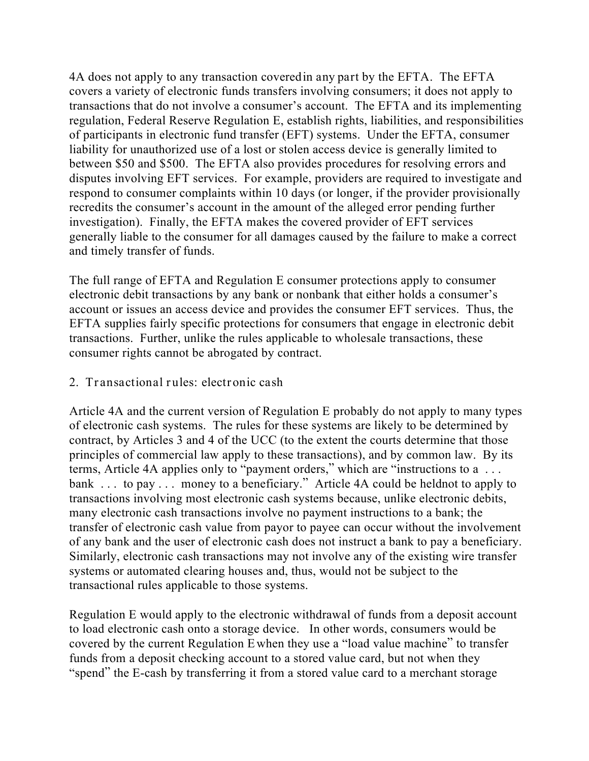4A does not apply to any transaction covered *in any part* by the EFTA. The EFTA covers a variety of electronic funds transfers involving consumers; it does not apply to transactions that do not involve a consumer's account. The EFTA and its implementing regulation, Federal Reserve Regulation E, establish rights, liabilities, and responsibilities of participants in electronic fund transfer (EFT) systems. Under the EFTA, consumer liability for unauthorized use of a lost or stolen access device is generally limited to between \$50 and \$500. The EFTA also provides procedures for resolving errors and disputes involving EFT services. For example, providers are required to investigate and respond to consumer complaints within 10 days (or longer, if the provider provisionally recredits the consumer's account in the amount of the alleged error pending further investigation). Finally, the EFTA makes the covered provider of EFT services generally liable to the consumer for all damages caused by the failure to make a correct and timely transfer of funds.

The full range of EFTA and Regulation E consumer protections apply to consumer electronic debit transactions by any bank or nonbank that either holds a consumer's account or issues an access device and provides the consumer EFT services. Thus, the EFTA supplies fairly specific protections for consumers that engage in electronic debit transactions. Further, unlike the rules applicable to wholesale transactions, these consumer rights cannot be abrogated by contract.

#### **2. Transactional rules: electronic cash**

Article 4A and the current version of Regulation E probably do not apply to many types of electronic cash systems. The rules for these systems are likely to be determined by contract, by Articles 3 and 4 of the UCC (to the extent the courts determine that those principles of commercial law apply to these transactions), and by common law. By its terms, Article 4A applies only to "payment orders," which are "instructions to a . . . bank . . . to pay . . . money to a beneficiary." Article 4A could be held not to apply to transactions involving most electronic cash systems because, unlike electronic debits, many electronic cash transactions involve no payment instructions to a bank; the transfer of electronic cash value from payor to payee can occur without the involvement of any bank and the user of electronic cash does not instruct a bank to pay a beneficiary. Similarly, electronic cash transactions may not involve any of the existing wire transfer systems or automated clearing houses and, thus, would not be subject to the transactional rules applicable to those systems.

Regulation E would apply to the electronic withdrawal of funds from a deposit account to load electronic cash onto a storage device. In other words, consumers would be covered by the current Regulation Ewhen they use a "load value machine" to transfer funds from a deposit checking account to a stored value card, but not when they "spend" the E-cash by transferring it from a stored value card to a merchant storage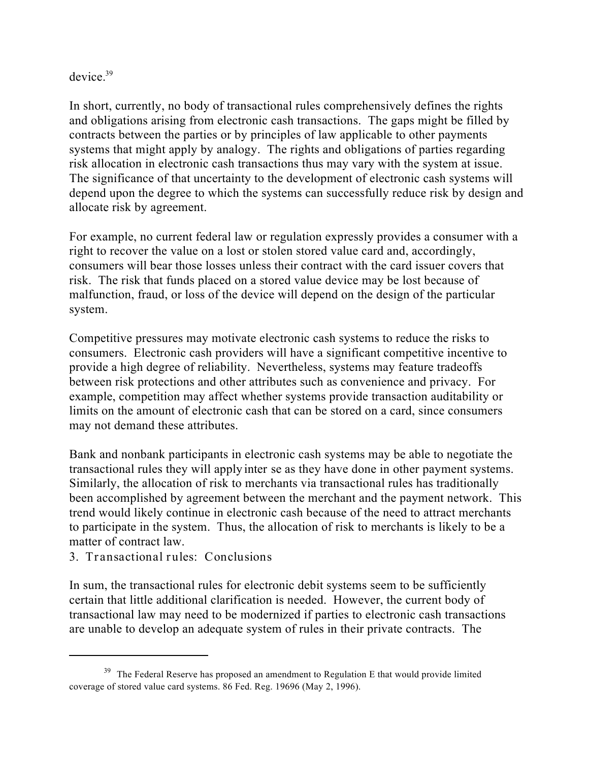#### device.<sup>39</sup>

In short, currently, no body of transactional rules comprehensively defines the rights and obligations arising from electronic cash transactions. The gaps might be filled by contracts between the parties or by principles of law applicable to other payments systems that might apply by analogy. The rights and obligations of parties regarding risk allocation in electronic cash transactions thus may vary with the system at issue. The significance of that uncertainty to the development of electronic cash systems will depend upon the degree to which the systems can successfully reduce risk by design and allocate risk by agreement.

For example, no current federal law or regulation expressly provides a consumer with a right to recover the value on a lost or stolen stored value card and, accordingly, consumers will bear those losses unless their contract with the card issuer covers that risk. The risk that funds placed on a stored value device may be lost because of malfunction, fraud, or loss of the device will depend on the design of the particular system.

Competitive pressures may motivate electronic cash systems to reduce the risks to consumers. Electronic cash providers will have a significant competitive incentive to provide a high degree of reliability. Nevertheless, systems may feature tradeoffs between risk protections and other attributes such as convenience and privacy. For example, competition may affect whether systems provide transaction auditability or limits on the amount of electronic cash that can be stored on a card, since consumers may not demand these attributes.

Bank and nonbank participants in electronic cash systems may be able to negotiate the transactional rules they will apply *inter se* as they have done in other payment systems. Similarly, the allocation of risk to merchants via transactional rules has traditionally been accomplished by agreement between the merchant and the payment network. This trend would likely continue in electronic cash because of the need to attract merchants to participate in the system. Thus, the allocation of risk to merchants is likely to be a matter of contract law.

**3. Transactional rules: Conclusions**

In sum, the transactional rules for electronic debit systems seem to be sufficiently certain that little additional clarification is needed. However, the current body of transactional law may need to be modernized if parties to electronic cash transactions are unable to develop an adequate system of rules in their private contracts. The

 $39$  The Federal Reserve has proposed an amendment to Regulation E that would provide limited coverage of stored value card systems. 86 Fed. Reg. 19696 (May 2, 1996).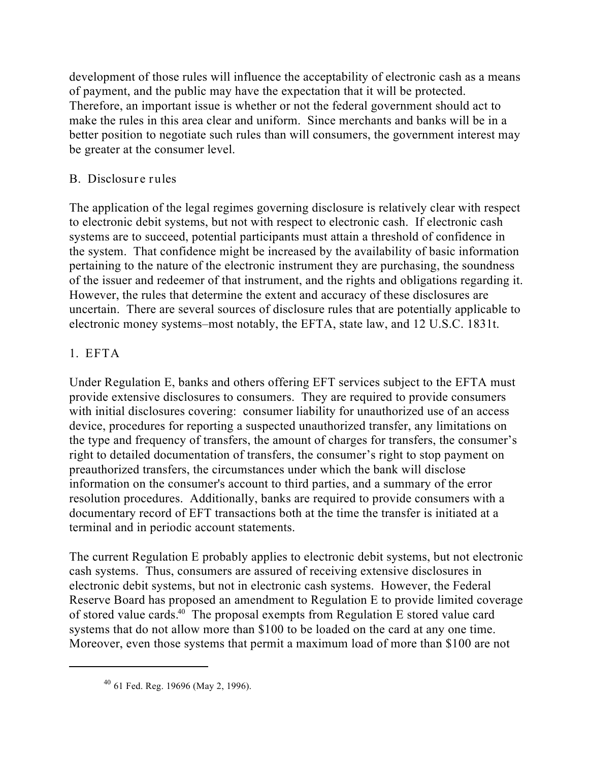development of those rules will influence the acceptability of electronic cash as a means of payment, and the public may have the expectation that it will be protected. Therefore, an important issue is whether or not the federal government should act to make the rules in this area clear and uniform. Since merchants and banks will be in a better position to negotiate such rules than will consumers, the government interest may be greater at the consumer level.

## **B. Disclosure rules**

The application of the legal regimes governing disclosure is relatively clear with respect to electronic debit systems, but not with respect to electronic cash. If electronic cash systems are to succeed, potential participants must attain a threshold of confidence in the system. That confidence might be increased by the availability of basic information pertaining to the nature of the electronic instrument they are purchasing, the soundness of the issuer and redeemer of that instrument, and the rights and obligations regarding it. However, the rules that determine the extent and accuracy of these disclosures are uncertain. There are several sources of disclosure rules that are potentially applicable to electronic money systems–most notably, the EFTA, state law, and 12 U.S.C. 1831t.

# **1. EFTA**

Under Regulation E, banks and others offering EFT services subject to the EFTA must provide extensive disclosures to consumers. They are required to provide consumers with initial disclosures covering: consumer liability for unauthorized use of an access device, procedures for reporting a suspected unauthorized transfer, any limitations on the type and frequency of transfers, the amount of charges for transfers, the consumer's right to detailed documentation of transfers, the consumer's right to stop payment on preauthorized transfers, the circumstances under which the bank will disclose information on the consumer's account to third parties, and a summary of the error resolution procedures. Additionally, banks are required to provide consumers with a documentary record of EFT transactions both at the time the transfer is initiated at a terminal and in periodic account statements.

The current Regulation E probably applies to electronic debit systems, but not electronic cash systems. Thus, consumers are assured of receiving extensive disclosures in electronic debit systems, but not in electronic cash systems. However, the Federal Reserve Board has proposed an amendment to Regulation E to provide limited coverage of stored value cards.<sup>40</sup> The proposal exempts from Regulation E stored value card systems that do not allow more than \$100 to be loaded on the card at any one time. Moreover, even those systems that permit a maximum load of more than \$100 are not

 $40$  61 Fed. Reg. 19696 (May 2, 1996).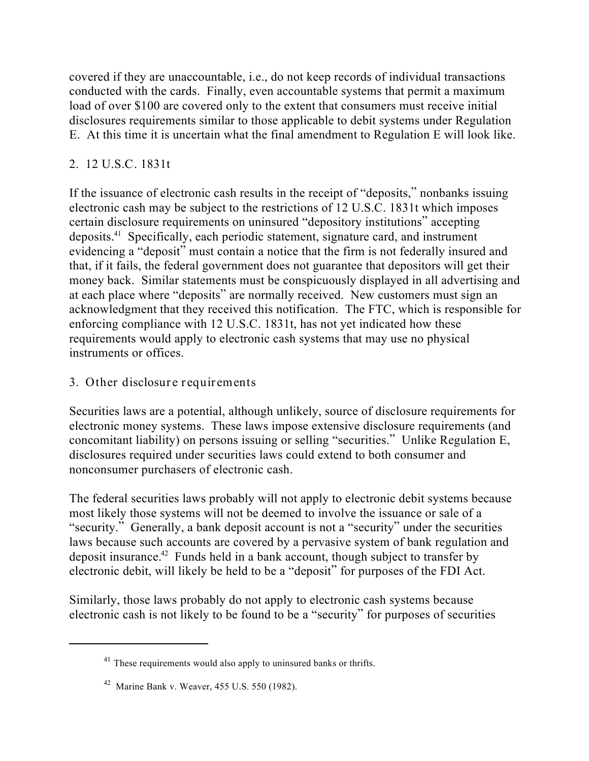covered if they are unaccountable, i.e., do not keep records of individual transactions conducted with the cards. Finally, even accountable systems that permit a maximum load of over \$100 are covered only to the extent that consumers must receive initial disclosures requirements similar to those applicable to debit systems under Regulation E. At this time it is uncertain what the final amendment to Regulation E will look like.

## **2. 12 U.S.C. 1831t**

If the issuance of electronic cash results in the receipt of "deposits," nonbanks issuing electronic cash may be subject to the restrictions of 12 U.S.C. 1831t which imposes certain disclosure requirements on uninsured "depository institutions" accepting deposits.<sup>41</sup> Specifically, each periodic statement, signature card, and instrument evidencing a "deposit" must contain a notice that the firm is not federally insured and that, if it fails, the federal government does not guarantee that depositors will get their money back. Similar statements must be conspicuously displayed in all advertising and at each place where "deposits" are normally received. New customers must sign an acknowledgment that they received this notification. The FTC, which is responsible for enforcing compliance with 12 U.S.C. 1831t, has not yet indicated how these requirements would apply to electronic cash systems that may use no physical instruments or offices.

## **3. Other disclosure requirements**

Securities laws are a potential, although unlikely, source of disclosure requirements for electronic money systems. These laws impose extensive disclosure requirements (and concomitant liability) on persons issuing or selling "securities." Unlike Regulation E, disclosures required under securities laws could extend to both consumer and nonconsumer purchasers of electronic cash.

The federal securities laws probably will not apply to electronic debit systems because most likely those systems will not be deemed to involve the issuance or sale of a "security." Generally, a bank deposit account is not a "security" under the securities laws because such accounts are covered by a pervasive system of bank regulation and deposit insurance.<sup> $42$ </sup> Funds held in a bank account, though subject to transfer by electronic debit, will likely be held to be a "deposit" for purposes of the FDI Act.

Similarly, those laws probably do not apply to electronic cash systems because electronic cash is not likely to be found to be a "security" for purposes of securities

 $41$  These requirements would also apply to uninsured banks or thrifts.

 $42$  Marine Bank v. Weaver, 455 U.S. 550 (1982).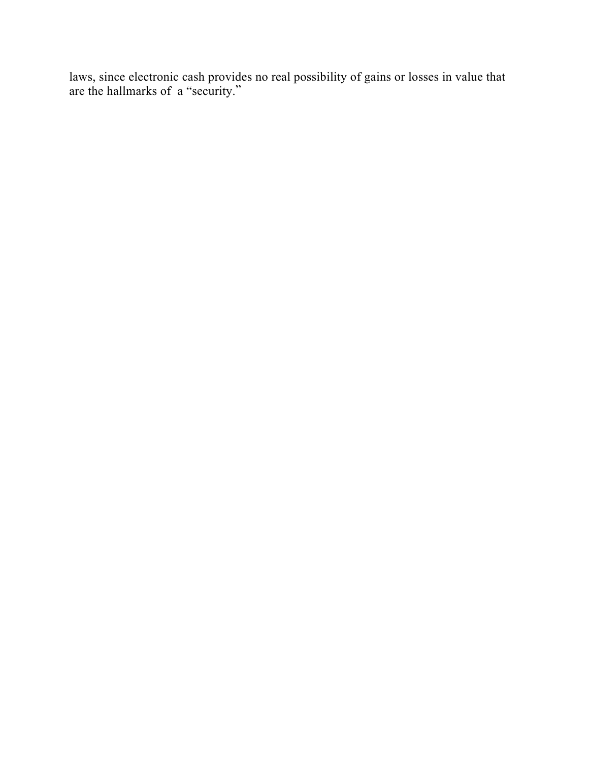laws, since electronic cash provides no real possibility of gains or losses in value that are the hallmarks of a "security."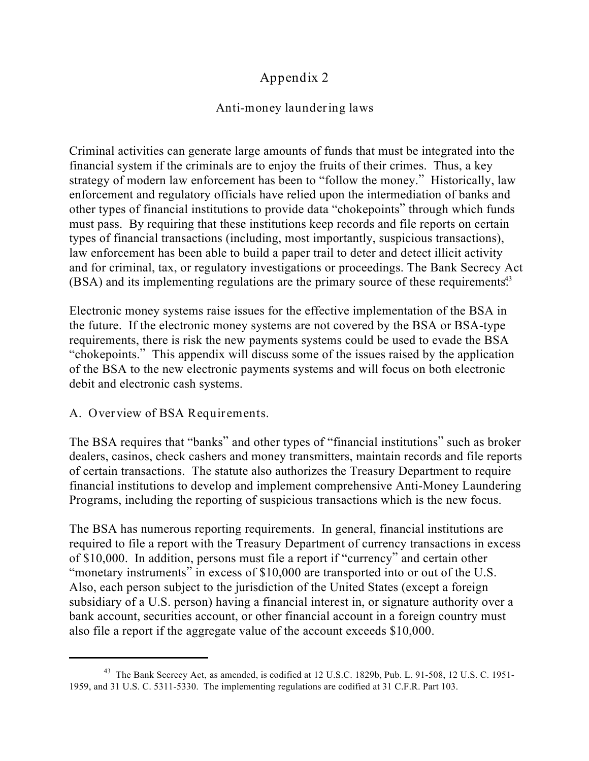# **Appendix 2**

### **Anti-money laundering laws**

Criminal activities can generate large amounts of funds that must be integrated into the financial system if the criminals are to enjoy the fruits of their crimes. Thus, a key strategy of modern law enforcement has been to "follow the money." Historically, law enforcement and regulatory officials have relied upon the intermediation of banks and other types of financial institutions to provide data "chokepoints" through which funds must pass. By requiring that these institutions keep records and file reports on certain types of financial transactions (including, most importantly, suspicious transactions), law enforcement has been able to build a paper trail to deter and detect illicit activity and for criminal, tax, or regulatory investigations or proceedings. The Bank Secrecy Act (BSA) and its implementing regulations are the primary source of these requirements<sup>43</sup>

Electronic money systems raise issues for the effective implementation of the BSA in the future. If the electronic money systems are not covered by the BSA or BSA-type requirements, there is risk the new payments systems could be used to evade the BSA "chokepoints." This appendix will discuss some of the issues raised by the application of the BSA to the new electronic payments systems and will focus on both electronic debit and electronic cash systems.

### **A. Overview of BSA Requirements.**

The BSA requires that "banks" and other types of "financial institutions" such as broker dealers, casinos, check cashers and money transmitters, maintain records and file reports of certain transactions. The statute also authorizes the Treasury Department to require financial institutions to develop and implement comprehensive Anti-Money Laundering Programs, including the reporting of suspicious transactions which is the new focus.

The BSA has numerous reporting requirements. In general, financial institutions are required to file a report with the Treasury Department of currency transactions in excess of \$10,000. In addition, persons must file a report if "currency" and certain other "monetary instruments" in excess of \$10,000 are transported into or out of the U.S. Also, each person subject to the jurisdiction of the United States (except a foreign subsidiary of a U.S. person) having a financial interest in, or signature authority over a bank account, securities account, or other financial account in a foreign country must also file a report if the aggregate value of the account exceeds \$10,000.

<sup>&</sup>lt;sup>43</sup> The Bank Secrecy Act, as amended, is codified at 12 U.S.C. 1829b, Pub. L. 91-508, 12 U.S. C. 1951-1959, and 31 U.S. C. 5311-5330. The implementing regulations are codified at 31 C.F.R. Part 103.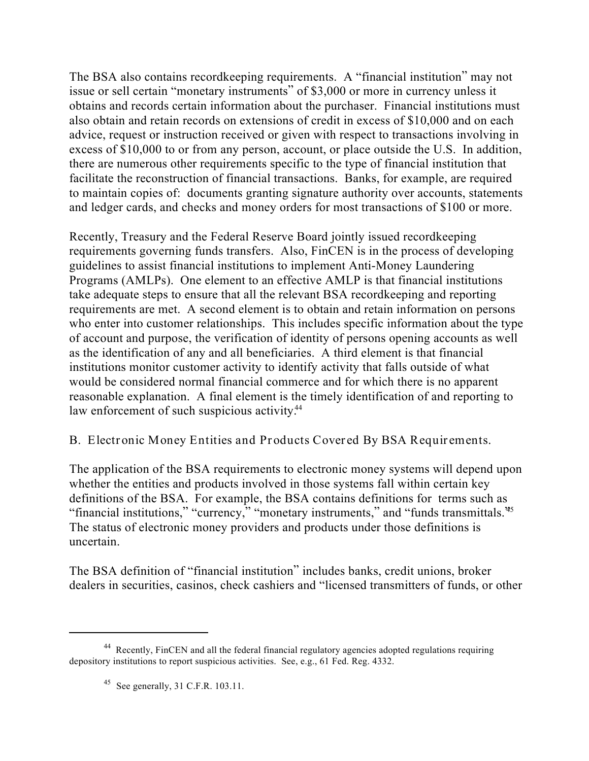The BSA also contains recordkeeping requirements. A "financial institution" may not issue or sell certain "monetary instruments" of \$3,000 or more in currency unless it obtains and records certain information about the purchaser. Financial institutions must also obtain and retain records on extensions of credit in excess of \$10,000 and on each advice, request or instruction received or given with respect to transactions involving in excess of \$10,000 to or from any person, account, or place outside the U.S. In addition, there are numerous other requirements specific to the type of financial institution that facilitate the reconstruction of financial transactions. Banks, for example, are required to maintain copies of: documents granting signature authority over accounts, statements and ledger cards, and checks and money orders for most transactions of \$100 or more.

Recently, Treasury and the Federal Reserve Board jointly issued recordkeeping requirements governing funds transfers. Also, FinCEN is in the process of developing guidelines to assist financial institutions to implement Anti-Money Laundering Programs (AMLPs). One element to an effective AMLP is that financial institutions take adequate steps to ensure that all the relevant BSA recordkeeping and reporting requirements are met. A second element is to obtain and retain information on persons who enter into customer relationships. This includes specific information about the type of account and purpose, the verification of identity of persons opening accounts as well as the identification of any and all beneficiaries. A third element is that financial institutions monitor customer activity to identify activity that falls outside of what would be considered normal financial commerce and for which there is no apparent reasonable explanation. A final element is the timely identification of and reporting to law enforcement of such suspicious activity.<sup>44</sup>

### **B. Electronic Money Entities and Products Covered By BSA Requirements.**

The application of the BSA requirements to electronic money systems will depend upon whether the entities and products involved in those systems fall within certain key definitions of the BSA. For example, the BSA contains definitions for terms such as "financial institutions," "currency," "monetary instruments," and "funds transmittals."<sup>45</sup> The status of electronic money providers and products under those definitions is uncertain.

The BSA definition of "financial institution" includes banks, credit unions, broker dealers in securities, casinos, check cashiers and "licensed transmitters of funds, or other

<sup>&</sup>lt;sup>44</sup> Recently, FinCEN and all the federal financial regulatory agencies adopted regulations requiring depository institutions to report suspicious activities. See, e.g., 61 Fed. Reg. 4332.

<sup>&</sup>lt;sup>45</sup> See generally, 31 C.F.R. 103.11.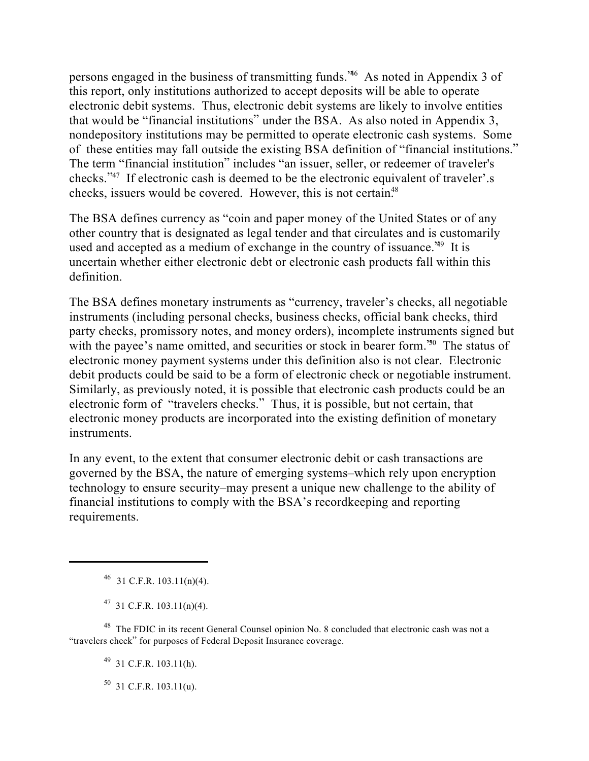persons engaged in the business of transmitting funds.<sup>46</sup> As noted in Appendix 3 of this report, only institutions authorized to accept deposits will be able to operate electronic debit systems. Thus, electronic debit systems are likely to involve entities that would be "financial institutions" under the BSA. As also noted in Appendix 3, nondepository institutions may be permitted to operate electronic cash systems. Some of these entities may fall outside the existing BSA definition of "financial institutions." The term "financial institution" includes "an issuer, seller, or redeemer of traveler's checks."<sup>47</sup> If electronic cash is deemed to be the electronic equivalent of traveler'.s checks, issuers would be covered. However, this is not certain.<sup>48</sup>

The BSA defines currency as "coin and paper money of the United States or of any other country that is designated as legal tender and that circulates and is customarily used and accepted as a medium of exchange in the country of issuance.<sup> $49$ </sup> It is uncertain whether either electronic debt or electronic cash products fall within this definition.

The BSA defines monetary instruments as "currency, traveler's checks, all negotiable instruments (including personal checks, business checks, official bank checks, third party checks, promissory notes, and money orders), incomplete instruments signed but with the payee's name omitted, and securities or stock in bearer form.<sup>50</sup> The status of electronic money payment systems under this definition also is not clear. Electronic debit products could be said to be a form of electronic check or negotiable instrument. Similarly, as previously noted, it is possible that electronic cash products could be an electronic form of "travelers checks." Thus, it is possible, but not certain, that electronic money products are incorporated into the existing definition of monetary instruments.

In any event, to the extent that consumer electronic debit or cash transactions are governed by the BSA, the nature of emerging systems–which rely upon encryption technology to ensure security–may present a unique new challenge to the ability of financial institutions to comply with the BSA's recordkeeping and reporting requirements.

 $^{49}$  31 C.F.R. 103.11(h).

 $50$  31 C.F.R. 103.11(u).

 $46$  31 C.F.R. 103.11(n)(4).

 $^{47}$  31 C.F.R. 103.11(n)(4).

<sup>&</sup>lt;sup>48</sup> The FDIC in its recent General Counsel opinion No. 8 concluded that electronic cash was not a "travelers check" for purposes of Federal Deposit Insurance coverage.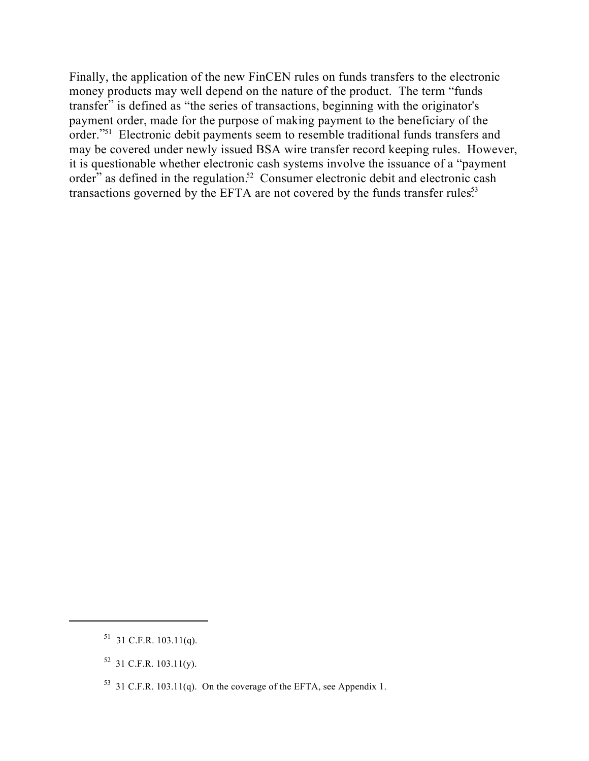Finally, the application of the new FinCEN rules on funds transfers to the electronic money products may well depend on the nature of the product. The term "funds transfer" is defined as "the series of transactions, beginning with the originator's payment order, made for the purpose of making payment to the beneficiary of the order."<sup>51</sup> Electronic debit payments seem to resemble traditional funds transfers and may be covered under newly issued BSA wire transfer record keeping rules. However, it is questionable whether electronic cash systems involve the issuance of a "payment order" as defined in the regulation.<sup>52</sup> Consumer electronic debit and electronic cash transactions governed by the EFTA are not covered by the funds transfer rules.<sup>53</sup>

 $51$  31 C.F.R. 103.11(q).

 $52$  31 C.F.R. 103.11(y).

<sup>&</sup>lt;sup>53</sup> 31 C.F.R. 103.11(q). On the coverage of the EFTA, see Appendix 1.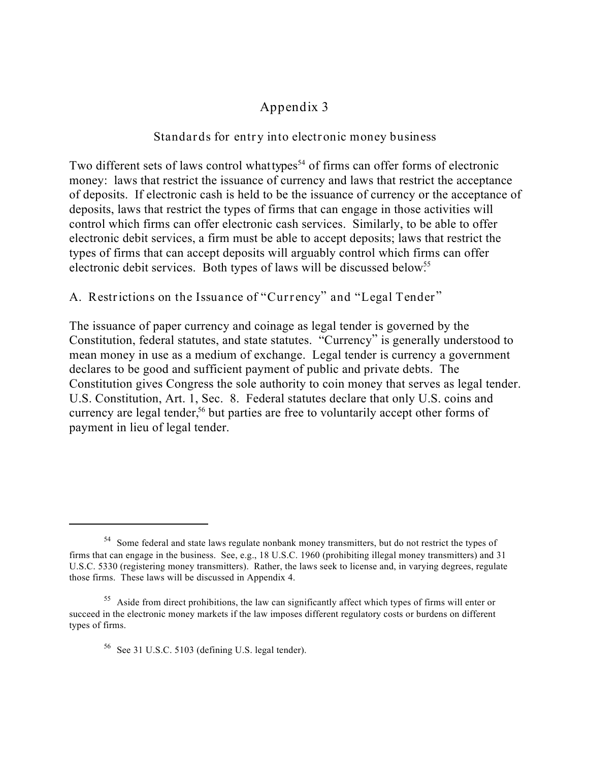## **Appendix 3**

#### **Standards for entry into electronic money business**

Two different sets of laws control what *types*<sup>54</sup> of firms can offer forms of electronic money: laws that restrict the issuance of currency and laws that restrict the acceptance of deposits. If electronic cash is held to be the issuance of currency or the acceptance of deposits, laws that restrict the types of firms that can engage in those activities will control which firms can offer electronic cash services. Similarly, to be able to offer electronic debit services, a firm must be able to accept deposits; laws that restrict the types of firms that can accept deposits will arguably control which firms can offer electronic debit services. Both types of laws will be discussed below.<sup>55</sup>

#### **A. Restrictions on the Issuance of "Currency" and "Legal Tender"**

The issuance of paper currency and coinage as legal tender is governed by the Constitution, federal statutes, and state statutes. "Currency" is generally understood to mean money in use as a medium of exchange. Legal tender is currency a government declares to be good and sufficient payment of public and private debts. The Constitution gives Congress the sole authority to coin money that serves as legal tender. U.S. Constitution, Art. 1, Sec. 8. Federal statutes declare that only U.S. coins and currency are legal tender,<sup>56</sup> but parties are free to voluntarily accept other forms of payment in lieu of legal tender.

<sup>&</sup>lt;sup>54</sup> Some federal and state laws regulate nonbank money transmitters, but do not restrict the types of firms that can engage in the business. See, e.g., 18 U.S.C. 1960 (prohibiting illegal money transmitters) and 31 U.S.C. 5330 (registering money transmitters). Rather, the laws seek to license and, in varying degrees, regulate those firms. These laws will be discussed in Appendix 4.

<sup>&</sup>lt;sup>55</sup> Aside from direct prohibitions, the law can significantly affect which types of firms will enter or succeed in the electronic money markets if the law imposes different regulatory costs or burdens on different types of firms.

 $56$  See 31 U.S.C. 5103 (defining U.S. legal tender).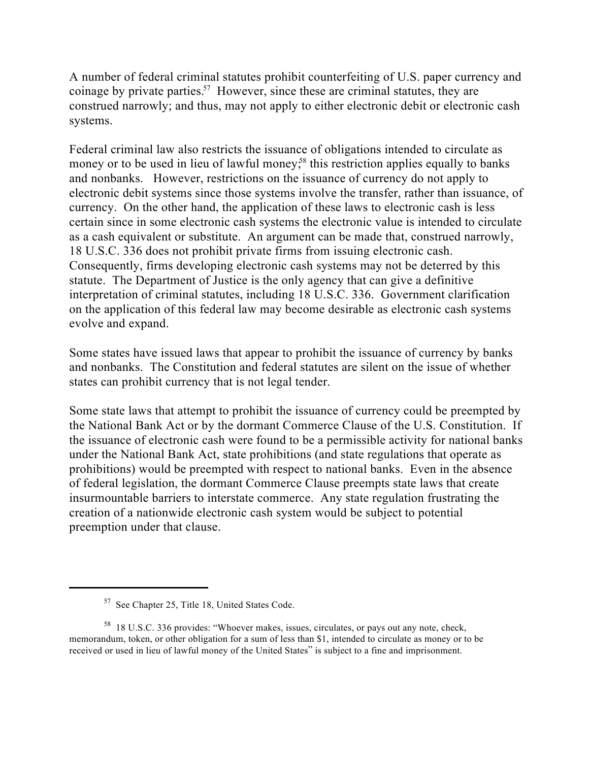A number of federal criminal statutes prohibit counterfeiting of U.S. paper currency and coinage by private parties.<sup>57</sup> However, since these are criminal statutes, they are construed narrowly; and thus, may not apply to either electronic debit or electronic cash systems.

Federal criminal law also restricts the issuance of obligations intended to circulate as money or to be used in lieu of lawful money;<sup>88</sup> this restriction applies equally to banks and nonbanks. However, restrictions on the issuance of currency do not apply to electronic debit systems since those systems involve the transfer, rather than issuance, of currency. On the other hand, the application of these laws to electronic cash is less certain since in some electronic cash systems the electronic value is intended to circulate as a cash equivalent or substitute. An argument can be made that, construed narrowly, 18 U.S.C. 336 does not prohibit private firms from issuing electronic cash. Consequently, firms developing electronic cash systems may not be deterred by this statute. The Department of Justice is the only agency that can give a definitive interpretation of criminal statutes, including 18 U.S.C. 336. Government clarification on the application of this federal law may become desirable as electronic cash systems evolve and expand.

Some states have issued laws that appear to prohibit the issuance of currency by banks and nonbanks. The Constitution and federal statutes are silent on the issue of whether states can prohibit currency that is not legal tender.

Some state laws that attempt to prohibit the issuance of currency could be preempted by the National Bank Act or by the dormant Commerce Clause of the U.S. Constitution. If the issuance of electronic cash were found to be a permissible activity for national banks under the National Bank Act, state prohibitions (and state regulations that operate as prohibitions) would be preempted with respect to national banks. Even in the absence of federal legislation, the dormant Commerce Clause preempts state laws that create insurmountable barriers to interstate commerce. Any state regulation frustrating the creation of a nationwide electronic cash system would be subject to potential preemption under that clause.

 $57$  See Chapter 25, Title 18, United States Code.

<sup>&</sup>lt;sup>58</sup> 18 U.S.C. 336 provides: "Whoever makes, issues, circulates, or pays out any note, check, memorandum, token, or other obligation for a sum of less than \$1, intended to circulate as money or to be received or used in lieu of lawful money of the United States" is subject to a fine and imprisonment.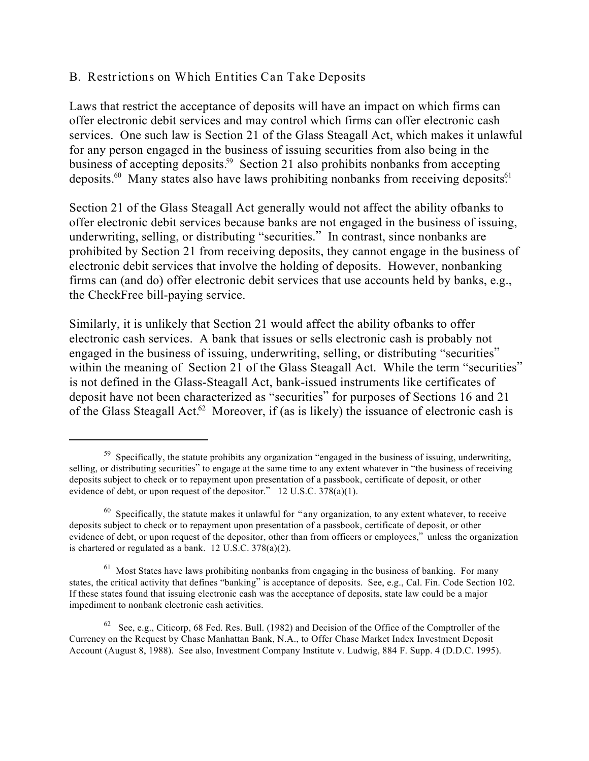#### **B. Restrictions on Which Entities Can Take Deposits**

Laws that restrict the acceptance of deposits will have an impact on which firms can offer electronic debit services and may control which firms can offer electronic cash services. One such law is Section 21 of the Glass Steagall Act, which makes it unlawful for any person engaged in the business of issuing securities from also being in the business of accepting deposits.<sup>59</sup> Section 21 also prohibits nonbanks from accepting deposits. $^{60}$  Many states also have laws prohibiting nonbanks from receiving deposits.<sup>61</sup>

Section 21 of the Glass Steagall Act generally would not affect the ability of *banks* to offer electronic debit services because banks are not engaged in the business of issuing, underwriting, selling, or distributing "securities." In contrast, since nonbanks are prohibited by Section 21 from receiving deposits, they cannot engage in the business of electronic debit services that involve the holding of deposits. However, nonbanking firms can (and do) offer electronic debit services that use accounts held by banks, e.g., the CheckFree bill-paying service.

Similarly, it is unlikely that Section 21 would affect the ability of *banks* to offer electronic cash services. A bank that issues or sells electronic cash is probably not engaged in the business of issuing, underwriting, selling, or distributing "securities" within the meaning of Section 21 of the Glass Steagall Act. While the term "securities" is not defined in the Glass-Steagall Act, bank-issued instruments like certificates of deposit have not been characterized as "securities" for purposes of Sections 16 and 21 of the Glass Steagall Act.<sup>62</sup> Moreover, if (as is likely) the issuance of electronic cash is

<sup>&</sup>lt;sup>59</sup> Specifically, the statute prohibits any organization "engaged in the business of issuing, underwriting, selling, or distributing securities" to engage at the same time to any extent whatever in "the business of receiving deposits subject to check or to repayment upon presentation of a passbook, certificate of deposit, or other evidence of debt, or upon request of the depositor." 12 U.S.C. 378(a)(1).

<sup>&</sup>lt;sup>60</sup> Specifically, the statute makes it unlawful for "any organization, to any extent whatever, to receive deposits subject to check or to repayment upon presentation of a passbook, certificate of deposit, or other evidence of debt, or upon request of the depositor, other than from officers or employees," *unless* the organization is chartered or regulated as a bank. 12 U.S.C. 378(a)(2).

 $<sup>61</sup>$  Most States have laws prohibiting nonbanks from engaging in the business of banking. For many</sup> states, the critical activity that defines "banking" is acceptance of deposits. See, e.g., Cal. Fin. Code Section 102. If these states found that issuing electronic cash was the acceptance of deposits, state law could be a major impediment to nonbank electronic cash activities.

 $62$  See, e.g., Citicorp, 68 Fed. Res. Bull. (1982) and Decision of the Office of the Comptroller of the Currency on the Request by Chase Manhattan Bank, N.A., to Offer Chase Market Index Investment Deposit Account (August 8, 1988). See also, Investment Company Institute v. Ludwig, 884 F. Supp. 4 (D.D.C. 1995).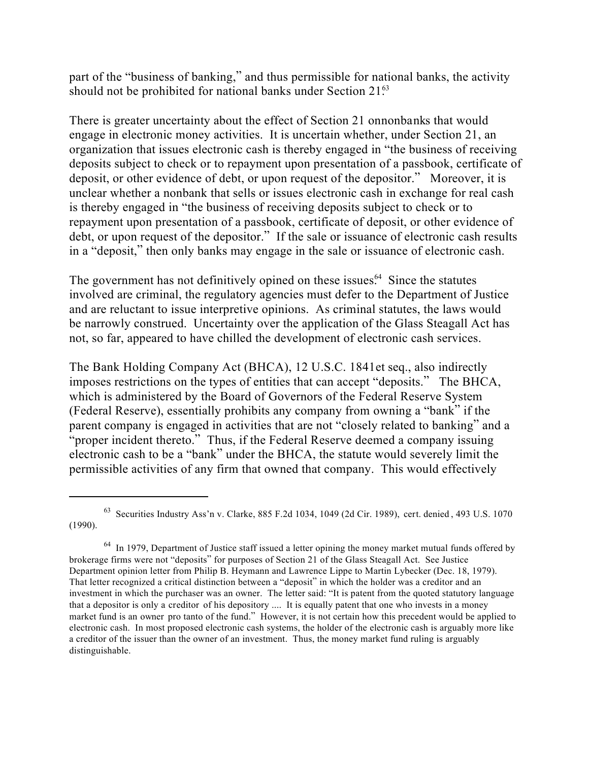part of the "business of banking," and thus permissible for national banks, the activity should not be prohibited for national banks under Section  $21<sup>63</sup>$ 

There is greater uncertainty about the effect of Section 21 on *nonbanks* that would engage in electronic money activities. It is uncertain whether, under Section 21, an organization that issues electronic cash is thereby engaged in "the business of receiving deposits subject to check or to repayment upon presentation of a passbook, certificate of deposit, or other evidence of debt, or upon request of the depositor." Moreover, it is unclear whether a nonbank that sells or issues electronic cash in exchange for real cash is thereby engaged in "the business of receiving deposits subject to check or to repayment upon presentation of a passbook, certificate of deposit, or other evidence of debt, or upon request of the depositor." If the sale or issuance of electronic cash results in a "deposit," then only banks may engage in the sale or issuance of electronic cash.

The government has not definitively opined on these issues.<sup>64</sup> Since the statutes involved are criminal, the regulatory agencies must defer to the Department of Justice and are reluctant to issue interpretive opinions. As criminal statutes, the laws would be narrowly construed. Uncertainty over the application of the Glass Steagall Act has not, so far, appeared to have chilled the development of electronic cash services.

The Bank Holding Company Act (BHCA), 12 U.S.C. 1841 *et seq*., also indirectly imposes restrictions on the types of entities that can accept "deposits." The BHCA, which is administered by the Board of Governors of the Federal Reserve System (Federal Reserve), essentially prohibits any company from owning a "bank" if the parent company is engaged in activities that are not "closely related to banking" and a "proper incident thereto." Thus, if the Federal Reserve deemed a company issuing electronic cash to be a "bank" under the BHCA, the statute would severely limit the permissible activities of any firm that owned that company. This would effectively

<sup>&</sup>lt;sup>63</sup> Securities Industry Ass'n v. Clarke, 885 F.2d 1034, 1049 (2d Cir. 1989), cert. denied, 493 U.S. 1070 (1990).

 $^{64}$  In 1979, Department of Justice staff issued a letter opining the money market mutual funds offered by brokerage firms were not "deposits" for purposes of Section 21 of the Glass Steagall Act. See Justice Department opinion letter from Philip B. Heymann and Lawrence Lippe to Martin Lybecker (Dec. 18, 1979). That letter recognized a critical distinction between a "deposit" in which the holder was a creditor and an investment in which the purchaser was an owner. The letter said: "It is patent from the quoted statutory language that a depositor is only a *creditor* of his depository .... It is equally patent that one who invests in a money market fund is an *owner* pro tanto of the fund." However, it is not certain how this precedent would be applied to electronic cash. In most proposed electronic cash systems, the holder of the electronic cash is arguably more like a creditor of the issuer than the owner of an investment. Thus, the money market fund ruling is arguably distinguishable.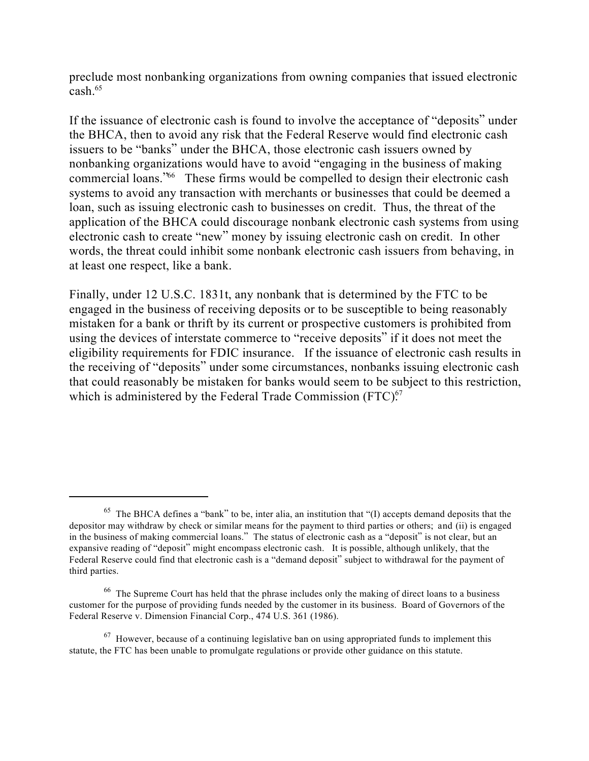preclude most nonbanking organizations from owning companies that issued electronic cash.<sup>65</sup>

If the issuance of electronic cash is found to involve the acceptance of "deposits" under the BHCA, then to avoid any risk that the Federal Reserve would find electronic cash issuers to be "banks" under the BHCA, those electronic cash issuers owned by nonbanking organizations would have to avoid "engaging in the business of making commercial loans.<sup>766</sup> These firms would be compelled to design their electronic cash systems to avoid any transaction with merchants or businesses that could be deemed a loan, such as issuing electronic cash to businesses on credit. Thus, the threat of the application of the BHCA could discourage nonbank electronic cash systems from using electronic cash to create "new" money by issuing electronic cash on credit. In other words, the threat could inhibit some nonbank electronic cash issuers from behaving, in at least one respect, like a bank.

Finally, under 12 U.S.C. 1831t, any nonbank that is determined by the FTC to be engaged in the business of receiving deposits or to be susceptible to being reasonably mistaken for a bank or thrift by its current or prospective customers is prohibited from using the devices of interstate commerce to "receive deposits" if it does not meet the eligibility requirements for FDIC insurance. If the issuance of electronic cash results in the receiving of "deposits" under some circumstances, nonbanks issuing electronic cash that could reasonably be mistaken for banks would seem to be subject to this restriction, which is administered by the Federal Trade Commission  $(FTC)^{67}$ .

 $65$  The BHCA defines a "bank" to be, inter alia, an institution that "(I) accepts demand deposits that the depositor may withdraw by check or similar means for the payment to third parties or others; *and* (ii) is engaged in the business of making commercial loans." The status of electronic cash as a "deposit" is not clear, but an expansive reading of "deposit" might encompass electronic cash. It is possible, although unlikely, that the Federal Reserve could find that electronic cash is a "demand deposit" subject to withdrawal for the payment of third parties.

 $66$  The Supreme Court has held that the phrase includes only the making of direct loans to a business customer for the purpose of providing funds needed by the customer in its business. Board of Governors of the Federal Reserve v. Dimension Financial Corp., 474 U.S. 361 (1986).

 $67$  However, because of a continuing legislative ban on using appropriated funds to implement this statute, the FTC has been unable to promulgate regulations or provide other guidance on this statute.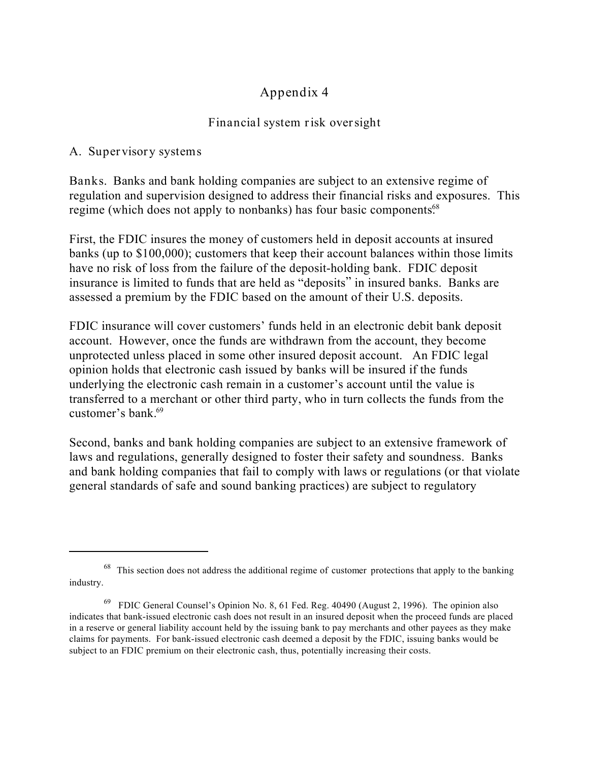# **Appendix 4**

### **Financial system risk oversight**

**A. Supervisory systems**

**Banks.** Banks and bank holding companies are subject to an extensive regime of regulation and supervision designed to address their financial risks and exposures. This regime (which does not apply to nonbanks) has four basic components<sup>68</sup>

First, the FDIC insures the money of customers held in deposit accounts at insured banks (up to \$100,000); customers that keep their account balances within those limits have no risk of loss from the failure of the deposit-holding bank. FDIC deposit insurance is limited to funds that are held as "deposits" in insured banks. Banks are assessed a premium by the FDIC based on the amount of their U.S. deposits.

FDIC insurance will cover customers' funds held in an electronic debit bank deposit account. However, once the funds are withdrawn from the account, they become unprotected unless placed in some other insured deposit account. An FDIC legal opinion holds that electronic cash issued by banks will be insured if the funds underlying the electronic cash remain in a customer's account until the value is transferred to a merchant or other third party, who in turn collects the funds from the customer's bank.<sup>69</sup>

Second, banks and bank holding companies are subject to an extensive framework of laws and regulations, generally designed to foster their safety and soundness. Banks and bank holding companies that fail to comply with laws or regulations (or that violate general standards of safe and sound banking practices) are subject to regulatory

<sup>&</sup>lt;sup>68</sup> This section does not address the additional regime of customer protections that apply to the banking industry.

 $69$  FDIC General Counsel's Opinion No. 8, 61 Fed. Reg. 40490 (August 2, 1996). The opinion also indicates that bank-issued electronic cash does not result in an insured deposit when the proceed funds are placed in a reserve or general liability account held by the issuing bank to pay merchants and other payees as they make claims for payments. For bank-issued electronic cash deemed a deposit by the FDIC, issuing banks would be subject to an FDIC premium on their electronic cash, thus, potentially increasing their costs.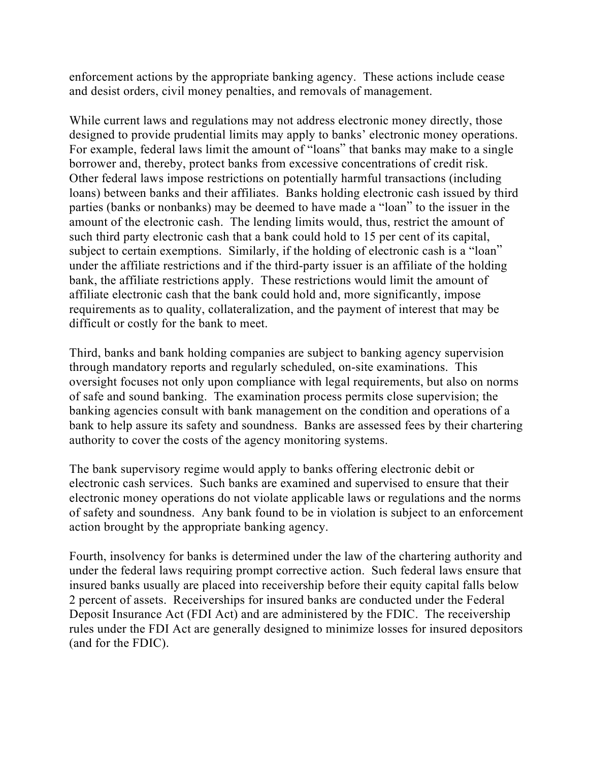enforcement actions by the appropriate banking agency. These actions include cease and desist orders, civil money penalties, and removals of management.

While current laws and regulations may not address electronic money directly, those designed to provide prudential limits may apply to banks' electronic money operations. For example, federal laws limit the amount of "loans" that banks may make to a single borrower and, thereby, protect banks from excessive concentrations of credit risk. Other federal laws impose restrictions on potentially harmful transactions (including loans) between banks and their affiliates. Banks holding electronic cash issued by third parties (banks or nonbanks) may be deemed to have made a "loan" to the issuer in the amount of the electronic cash. The lending limits would, thus, restrict the amount of such third party electronic cash that a bank could hold to 15 per cent of its capital, subject to certain exemptions. Similarly, if the holding of electronic cash is a "loan" under the affiliate restrictions and if the third-party issuer is an affiliate of the holding bank, the affiliate restrictions apply. These restrictions would limit the amount of affiliate electronic cash that the bank could hold and, more significantly, impose requirements as to quality, collateralization, and the payment of interest that may be difficult or costly for the bank to meet.

Third, banks and bank holding companies are subject to banking agency supervision through mandatory reports and regularly scheduled, on-site examinations. This oversight focuses not only upon compliance with legal requirements, but also on norms of safe and sound banking. The examination process permits close supervision; the banking agencies consult with bank management on the condition and operations of a bank to help assure its safety and soundness. Banks are assessed fees by their chartering authority to cover the costs of the agency monitoring systems.

The bank supervisory regime would apply to banks offering electronic debit or electronic cash services. Such banks are examined and supervised to ensure that their electronic money operations do not violate applicable laws or regulations and the norms of safety and soundness. Any bank found to be in violation is subject to an enforcement action brought by the appropriate banking agency.

Fourth, insolvency for banks is determined under the law of the chartering authority and under the federal laws requiring prompt corrective action. Such federal laws ensure that insured banks usually are placed into receivership before their equity capital falls below 2 percent of assets. Receiverships for insured banks are conducted under the Federal Deposit Insurance Act (FDI Act) and are administered by the FDIC. The receivership rules under the FDI Act are generally designed to minimize losses for insured depositors (and for the FDIC).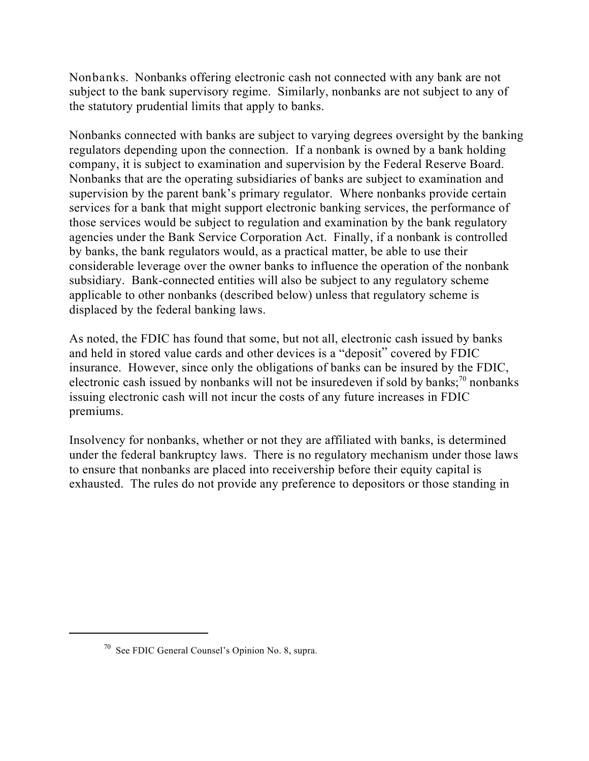**Nonbanks.** Nonbanks offering electronic cash not connected with any bank are not subject to the bank supervisory regime. Similarly, nonbanks are not subject to any of the statutory prudential limits that apply to banks.

Nonbanks connected with banks are subject to varying degrees oversight by the banking regulators depending upon the connection. If a nonbank is owned by a bank holding company, it is subject to examination and supervision by the Federal Reserve Board. Nonbanks that are the operating subsidiaries of banks are subject to examination and supervision by the parent bank's primary regulator. Where nonbanks provide certain services for a bank that might support electronic banking services, the performance of those services would be subject to regulation and examination by the bank regulatory agencies under the Bank Service Corporation Act. Finally, if a nonbank is controlled by banks, the bank regulators would, as a practical matter, be able to use their considerable leverage over the owner banks to influence the operation of the nonbank subsidiary. Bank-connected entities will also be subject to any regulatory scheme applicable to other nonbanks (described below) unless that regulatory scheme is displaced by the federal banking laws.

As noted, the FDIC has found that some, but not all, electronic cash issued by banks and held in stored value cards and other devices is a "deposit" covered by FDIC insurance. However, since only the obligations of banks can be insured by the FDIC, electronic cash issued by nonbanks will not be insured even if sold by banks;<sup>70</sup> nonbanks issuing electronic cash will not incur the costs of any future increases in FDIC premiums.

Insolvency for nonbanks, whether or not they are affiliated with banks, is determined under the federal bankruptcy laws. There is no regulatory mechanism under those laws to ensure that nonbanks are placed into receivership before their equity capital is exhausted. The rules do not provide any preference to depositors or those standing in

 $\frac{70}{10}$  See FDIC General Counsel's Opinion No. 8, supra.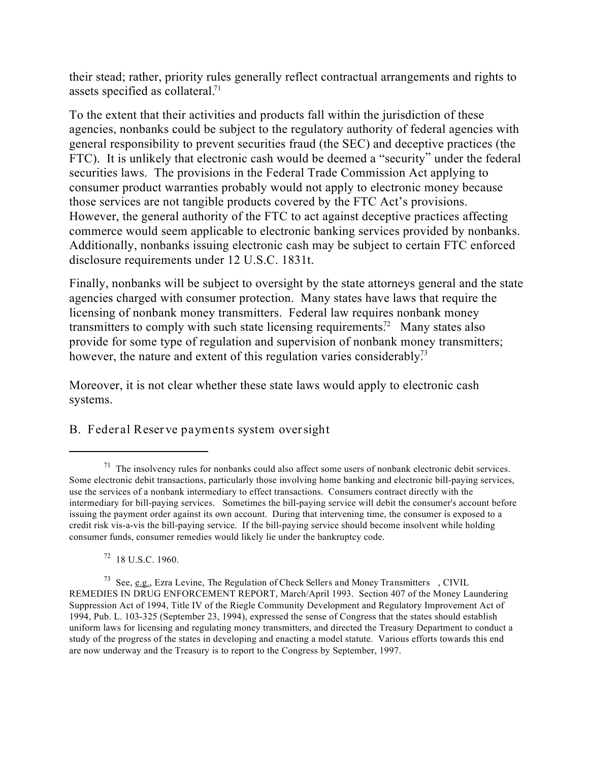their stead; rather, priority rules generally reflect contractual arrangements and rights to assets specified as collateral.<sup>71</sup>

To the extent that their activities and products fall within the jurisdiction of these agencies, nonbanks could be subject to the regulatory authority of federal agencies with general responsibility to prevent securities fraud (the SEC) and deceptive practices (the FTC). It is unlikely that electronic cash would be deemed a "security" under the federal securities laws. The provisions in the Federal Trade Commission Act applying to consumer product warranties probably would not apply to electronic money because those services are not tangible products covered by the FTC Act's provisions. However, the general authority of the FTC to act against deceptive practices affecting commerce would seem applicable to electronic banking services provided by nonbanks. Additionally, nonbanks issuing electronic cash may be subject to certain FTC enforced disclosure requirements under 12 U.S.C. 1831t.

Finally, nonbanks will be subject to oversight by the state attorneys general and the state agencies charged with consumer protection. Many states have laws that require the licensing of nonbank money transmitters. Federal law requires nonbank money transmitters to comply with such state licensing requirements.<sup>72</sup> Many states also provide for some type of regulation and supervision of nonbank money transmitters; however, the nature and extent of this regulation varies considerably.<sup>73</sup>

Moreover, it is not clear whether these state laws would apply to electronic cash systems.

**B. Federal Reserve payments system oversight**

 $72$  18 U.S.C. 1960.

 $1<sup>71</sup>$  The insolvency rules for nonbanks could also affect some users of nonbank electronic debit services. Some electronic debit transactions, particularly those involving home banking and electronic bill-paying services, use the services of a nonbank intermediary to effect transactions. Consumers contract directly with the intermediary for bill-paying services. Sometimes the bill-paying service will debit the consumer's account before issuing the payment order against its own account. During that intervening time, the consumer is exposed to a credit risk vis-a-vis the bill-paying service. If the bill-paying service should become insolvent while holding consumer funds, consumer remedies would likely lie under the bankruptcy code.

See, e.g., Ezra Levine, *The Regulation of Check Sellers and Money Transmitters* , CIVIL <sup>73</sup> REMEDIES IN DRUG ENFORCEMENT REPORT, March/April 1993. Section 407 of the Money Laundering Suppression Act of 1994, Title IV of the Riegle Community Development and Regulatory Improvement Act of 1994, Pub. L. 103-325 (September 23, 1994), expressed the sense of Congress that the states should establish uniform laws for licensing and regulating money transmitters, and directed the Treasury Department to conduct a study of the progress of the states in developing and enacting a model statute. Various efforts towards this end are now underway and the Treasury is to report to the Congress by September, 1997.